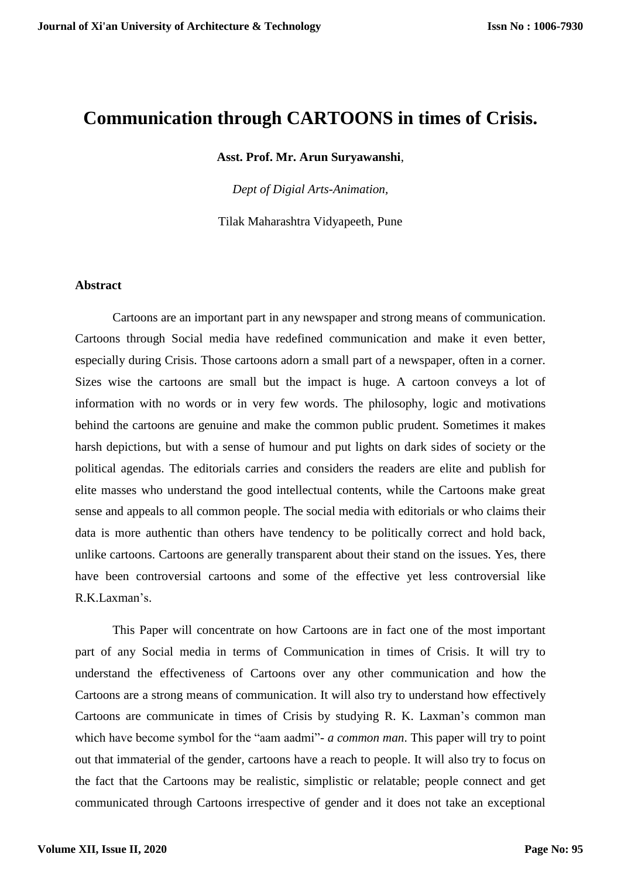# **Communication through CARTOONS in times of Crisis.**

**Asst. Prof. Mr. Arun Suryawanshi**,

*Dept of Digial Arts-Animation,* 

Tilak Maharashtra Vidyapeeth, Pune

#### **Abstract**

Cartoons are an important part in any newspaper and strong means of communication. Cartoons through Social media have redefined communication and make it even better, especially during Crisis. Those cartoons adorn a small part of a newspaper, often in a corner. Sizes wise the cartoons are small but the impact is huge. A cartoon conveys a lot of information with no words or in very few words. The philosophy, logic and motivations behind the cartoons are genuine and make the common public prudent. Sometimes it makes harsh depictions, but with a sense of humour and put lights on dark sides of society or the political agendas. The editorials carries and considers the readers are elite and publish for elite masses who understand the good intellectual contents, while the Cartoons make great sense and appeals to all common people. The social media with editorials or who claims their data is more authentic than others have tendency to be politically correct and hold back, unlike cartoons. Cartoons are generally transparent about their stand on the issues. Yes, there have been controversial cartoons and some of the effective yet less controversial like R.K.Laxman's.

This Paper will concentrate on how Cartoons are in fact one of the most important part of any Social media in terms of Communication in times of Crisis. It will try to understand the effectiveness of Cartoons over any other communication and how the Cartoons are a strong means of communication. It will also try to understand how effectively Cartoons are communicate in times of Crisis by studying R. K. Laxman's common man which have become symbol for the "aam aadmi"- *a common man*. This paper will try to point out that immaterial of the gender, cartoons have a reach to people. It will also try to focus on the fact that the Cartoons may be realistic, simplistic or relatable; people connect and get communicated through Cartoons irrespective of gender and it does not take an exceptional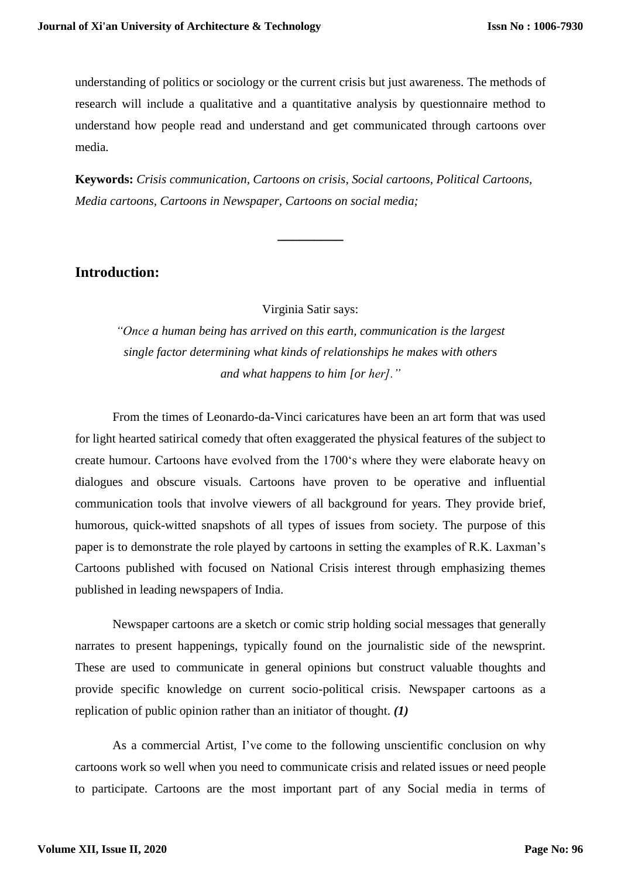understanding of politics or sociology or the current crisis but just awareness. The methods of research will include a qualitative and a quantitative analysis by questionnaire method to understand how people read and understand and get communicated through cartoons over media.

**Keywords:** *Crisis communication, Cartoons on crisis, Social cartoons, Political Cartoons, Media cartoons, Cartoons in Newspaper, Cartoons on social media;*

**\_\_\_\_\_\_\_\_\_**

# **Introduction:**

Virginia Satir says:

*"Once a human being has arrived on this earth, communication is the largest single factor determining what kinds of relationships he makes with others and what happens to him [or her]."*

From the times of Leonardo-da-Vinci caricatures have been an art form that was used for light hearted satirical comedy that often exaggerated the physical features of the subject to create humour. Cartoons have evolved from the 1700's where they were elaborate heavy on dialogues and obscure visuals. Cartoons have proven to be operative and influential communication tools that involve viewers of all background for years. They provide brief, humorous, quick-witted snapshots of all types of issues from society. The purpose of this paper is to demonstrate the role played by cartoons in setting the examples of R.K. Laxman's Cartoons published with focused on National Crisis interest through emphasizing themes published in leading newspapers of India.

Newspaper cartoons are a sketch or comic strip holding social messages that generally narrates to present happenings, typically found on the journalistic side of the newsprint. These are used to communicate in general opinions but construct valuable thoughts and provide specific knowledge on current socio-political crisis. Newspaper cartoons as a replication of public opinion rather than an initiator of thought. *(1)*

As a commercial Artist, I've come to the following unscientific conclusion on why cartoons work so well when you need to communicate crisis and related issues or need people to participate. Cartoons are the most important part of any Social media in terms of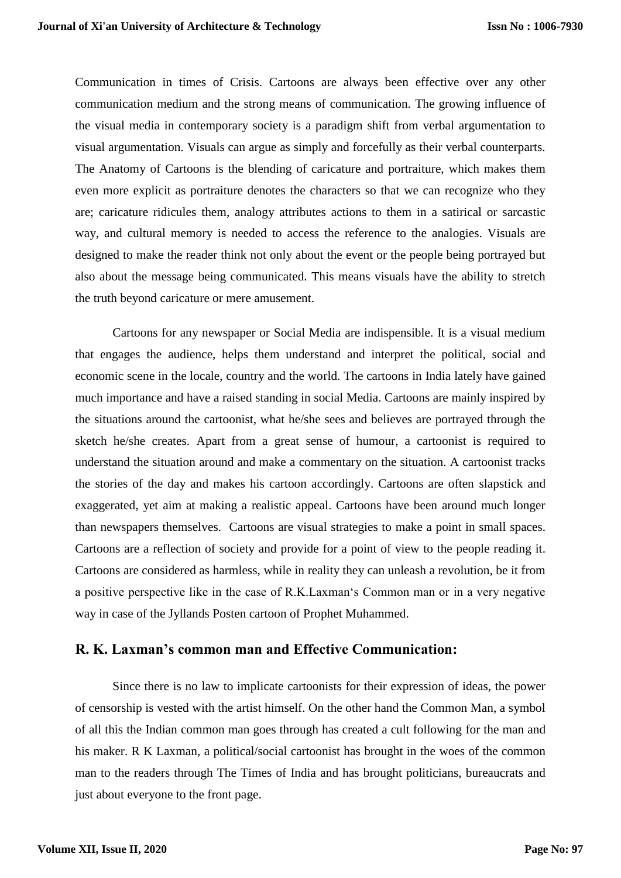Communication in times of Crisis. Cartoons are always been effective over any other communication medium and the strong means of communication. The growing influence of the visual media in contemporary society is a paradigm shift from verbal argumentation to visual argumentation. Visuals can argue as simply and forcefully as their verbal counterparts. The Anatomy of Cartoons is the blending of caricature and portraiture, which makes them even more explicit as portraiture denotes the characters so that we can recognize who they are; caricature ridicules them, analogy attributes actions to them in a satirical or sarcastic way, and cultural memory is needed to access the reference to the analogies. Visuals are designed to make the reader think not only about the event or the people being portrayed but also about the message being communicated. This means visuals have the ability to stretch the truth beyond caricature or mere amusement.

Cartoons for any newspaper or Social Media are indispensible. It is a visual medium that engages the audience, helps them understand and interpret the political, social and economic scene in the locale, country and the world. The cartoons in India lately have gained much importance and have a raised standing in social Media. Cartoons are mainly inspired by the situations around the cartoonist, what he/she sees and believes are portrayed through the sketch he/she creates. Apart from a great sense of humour, a cartoonist is required to understand the situation around and make a commentary on the situation. A cartoonist tracks the stories of the day and makes his cartoon accordingly. Cartoons are often slapstick and exaggerated, yet aim at making a realistic appeal. Cartoons have been around much longer than newspapers themselves. Cartoons are visual strategies to make a point in small spaces. Cartoons are a reflection of society and provide for a point of view to the people reading it. Cartoons are considered as harmless, while in reality they can unleash a revolution, be it from a positive perspective like in the case of R.K.Laxman's Common man or in a very negative way in case of the Jyllands Posten cartoon of Prophet Muhammed.

## **R. K. Laxman's common man and Effective Communication:**

Since there is no law to implicate cartoonists for their expression of ideas, the power of censorship is vested with the artist himself. On the other hand the Common Man, a symbol of all this the Indian common man goes through has created a cult following for the man and his maker. R K Laxman, a political/social cartoonist has brought in the woes of the common man to the readers through The Times of India and has brought politicians, bureaucrats and just about everyone to the front page.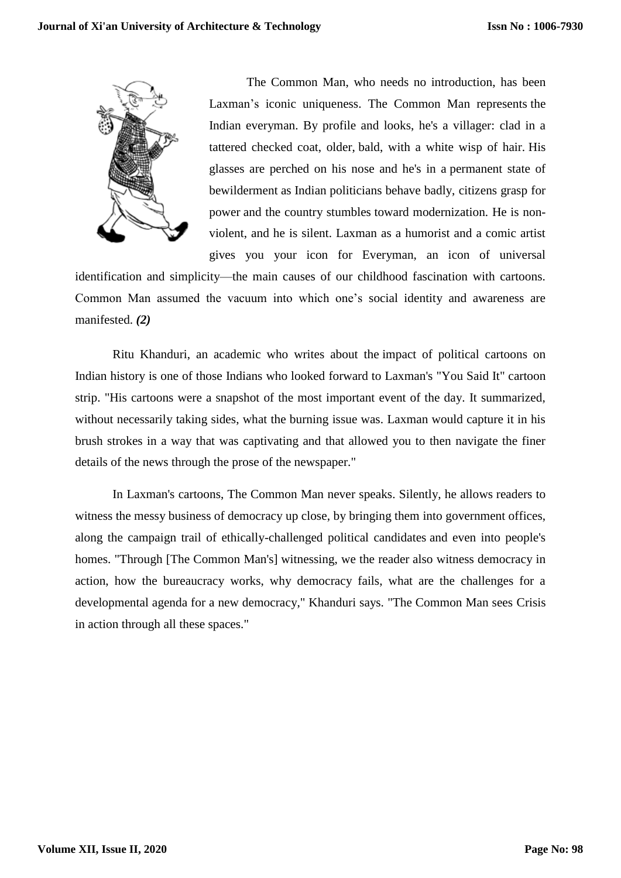

The Common Man, who needs no introduction, has been Laxman's iconic uniqueness. The Common Man represents the Indian everyman. By profile and looks, he's a villager: clad in a tattered checked coat, older, bald, with a white wisp of hair. His glasses are perched on his nose and he's in a permanent state of bewilderment as Indian politicians behave badly, citizens grasp for power and the country stumbles toward modernization. He is nonviolent, and he is silent. Laxman as a humorist and a comic artist gives you your icon for Everyman, an icon of universal

identification and simplicity—the main causes of our childhood fascination with cartoons. Common Man assumed the vacuum into which one's social identity and awareness are manifested. *(2)*

Ritu Khanduri, an academic who writes about the impact of political cartoons on Indian history is one of those Indians who looked forward to Laxman's "You Said It" cartoon strip. "His cartoons were a snapshot of the most important event of the day. It summarized, without necessarily taking sides, what the burning issue was. Laxman would capture it in his brush strokes in a way that was captivating and that allowed you to then navigate the finer details of the news through the prose of the newspaper."

In Laxman's cartoons, The Common Man never speaks. Silently, he allows readers to witness the messy business of democracy up close, by bringing them into government offices, along the campaign trail of ethically-challenged political candidates and even into people's homes. "Through [The Common Man's] witnessing, we the reader also witness democracy in action, how the bureaucracy works, why democracy fails, what are the challenges for a developmental agenda for a new democracy," Khanduri says. "The Common Man sees Crisis in action through all these spaces."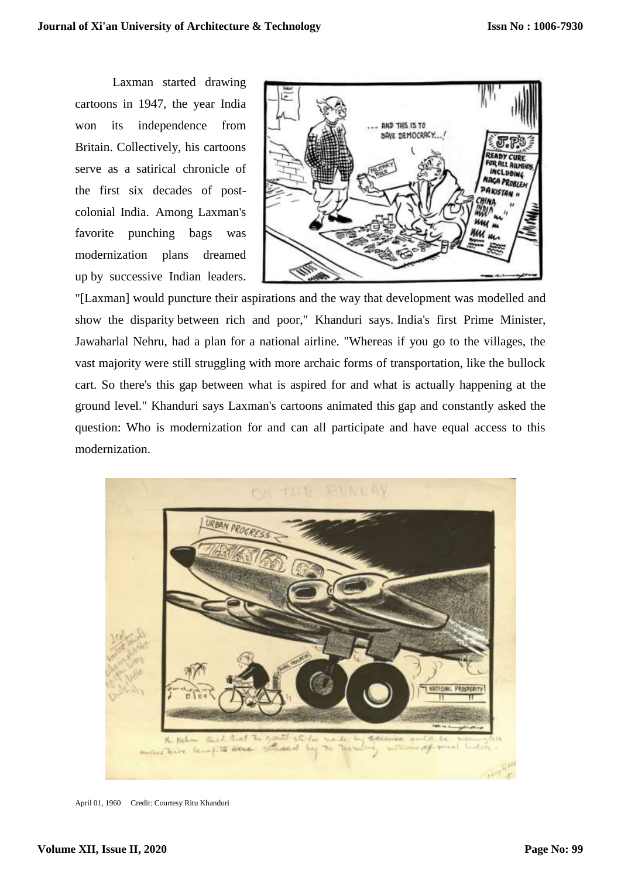Laxman started drawing cartoons in 1947, the year India won its independence from Britain. Collectively, his cartoons serve as a satirical chronicle of the first six decades of postcolonial India. Among Laxman's favorite punching bags was modernization plans dreamed up by successive Indian leaders.



"[Laxman] would puncture their aspirations and the way that development was modelled and show the disparity between rich and poor," Khanduri says. India's first Prime Minister, Jawaharlal Nehru, had a plan for a national airline. "Whereas if you go to the villages, the vast majority were still struggling with more archaic forms of transportation, like the bullock cart. So there's this gap between what is aspired for and what is actually happening at the ground level." Khanduri says Laxman's cartoons animated this gap and constantly asked the question: Who is modernization for and can all participate and have equal access to this modernization.



April 01, 1960 Credit: Courtesy Ritu Khanduri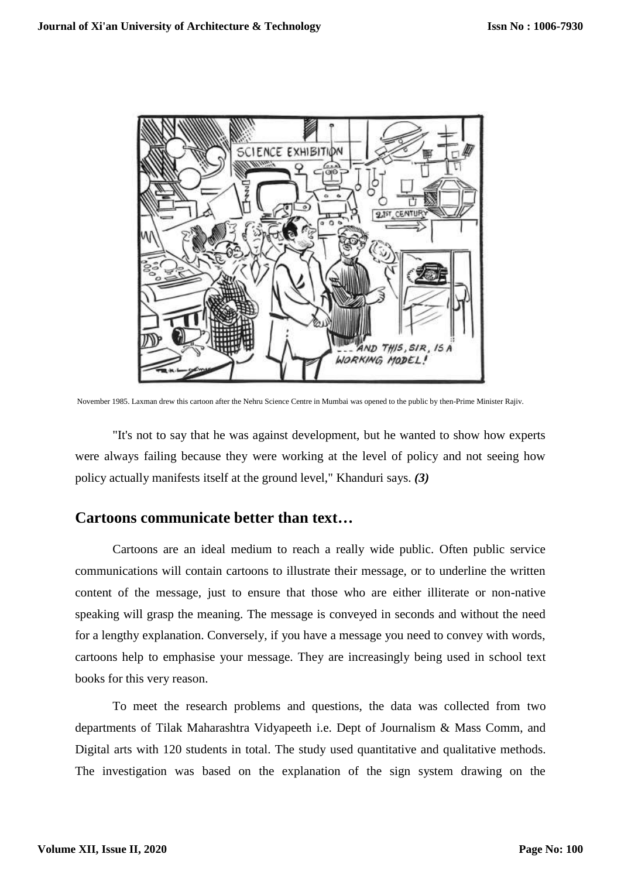

November 1985. Laxman drew this cartoon after the Nehru Science Centre in Mumbai was opened to the public by then-Prime Minister Rajiv.

"It's not to say that he was against development, but he wanted to show how experts were always failing because they were working at the level of policy and not seeing how policy actually manifests itself at the ground level," Khanduri says. *(3)*

## **Cartoons communicate better than text…**

Cartoons are an ideal medium to reach a really wide public. Often public service communications will contain cartoons to illustrate their message, or to underline the written content of the message, just to ensure that those who are either illiterate or non-native speaking will grasp the meaning. The message is conveyed in seconds and without the need for a lengthy explanation. Conversely, if you have a message you need to convey with words, cartoons help to emphasise your message. They are increasingly being used in school text books for this very reason.

To meet the research problems and questions, the data was collected from two departments of Tilak Maharashtra Vidyapeeth i.e. Dept of Journalism & Mass Comm, and Digital arts with 120 students in total. The study used quantitative and qualitative methods. The investigation was based on the explanation of the sign system drawing on the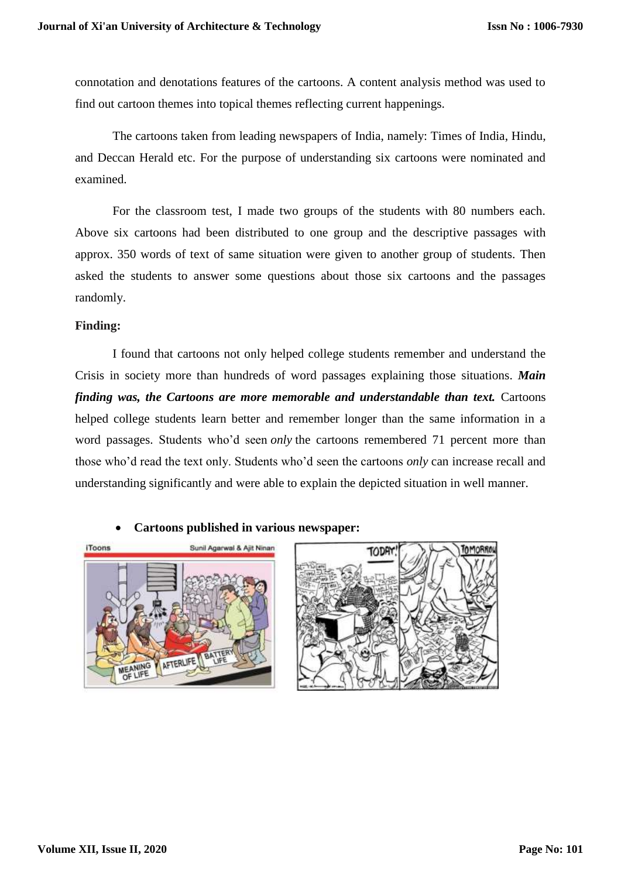connotation and denotations features of the cartoons. A content analysis method was used to find out cartoon themes into topical themes reflecting current happenings.

The cartoons taken from leading newspapers of India, namely: Times of India, Hindu, and Deccan Herald etc. For the purpose of understanding six cartoons were nominated and examined.

For the classroom test, I made two groups of the students with 80 numbers each. Above six cartoons had been distributed to one group and the descriptive passages with approx. 350 words of text of same situation were given to another group of students. Then asked the students to answer some questions about those six cartoons and the passages randomly.

### **Finding:**

I found that cartoons not only helped college students remember and understand the Crisis in society more than hundreds of word passages explaining those situations. *Main finding was, the Cartoons are more memorable and understandable than text.* Cartoons helped college students learn better and remember longer than the same information in a word passages. Students who'd seen *only* the cartoons remembered 71 percent more than those who'd read the text only. Students who'd seen the cartoons *only* can increase recall and understanding significantly and were able to explain the depicted situation in well manner.



#### **Cartoons published in various newspaper:**

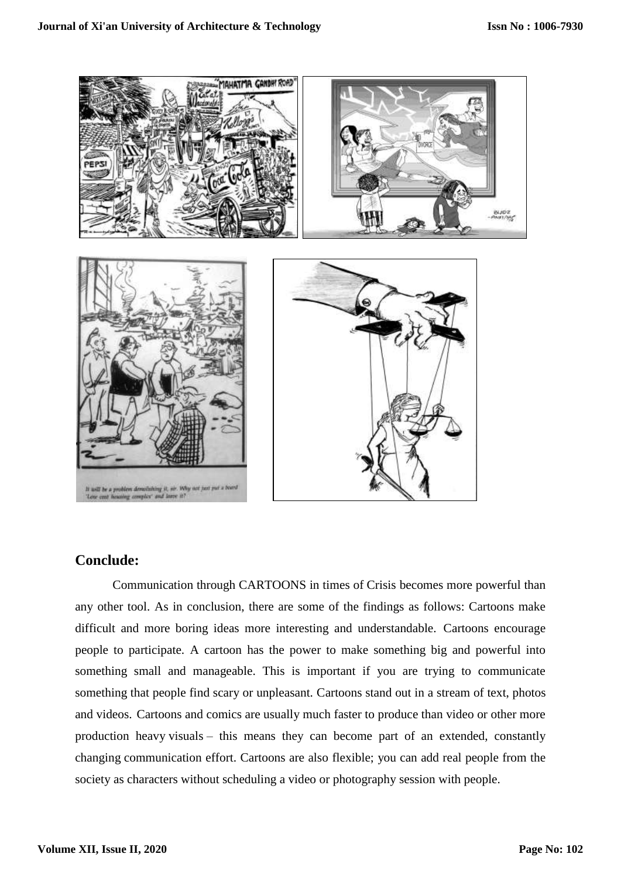

## **Conclude:**

Communication through CARTOONS in times of Crisis becomes more powerful than any other tool. As in conclusion, there are some of the findings as follows: Cartoons make difficult and more boring ideas more interesting and understandable. Cartoons encourage people to participate. A cartoon has the power to make something big and powerful into something small and manageable. This is important if you are trying to communicate something that people find scary or unpleasant. Cartoons stand out in a stream of text, photos and videos. Cartoons and comics are usually much faster to produce than video or other more production heavy visuals – this means they can become part of an extended, constantly changing communication effort. Cartoons are also flexible; you can add real people from the society as characters without scheduling a video or photography session with people.